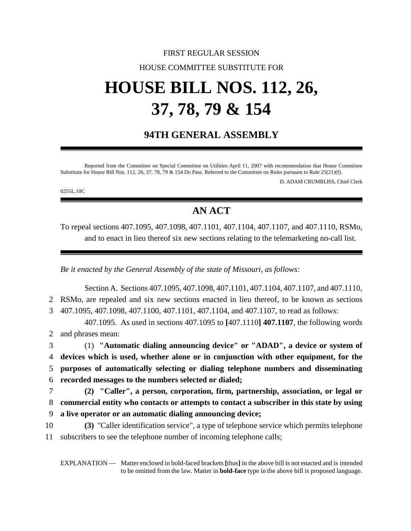## FIRST REGULAR SESSION HOUSE COMMITTEE SUBSTITUTE FOR

# **HOUSE BILL NOS. 112, 26, 37, 78, 79 & 154**

## **94TH GENERAL ASSEMBLY**

Reported from the Committee on Special Committee on Utilities April 11, 2007 with recommendation that House Committee Substitute for House Bill Nos. 112, 26, 37, 78, 79 & 154 Do Pass. Referred to the Committee on Rules pursuant to Rule 25(21)(f).

D. ADAM CRUMBLISS, Chief Clerk

0255L.10C

## **AN ACT**

To repeal sections 407.1095, 407.1098, 407.1101, 407.1104, 407.1107, and 407.1110, RSMo, and to enact in lieu thereof six new sections relating to the telemarketing no-call list.

*Be it enacted by the General Assembly of the state of Missouri, as follows:*

Section A. Sections 407.1095, 407.1098, 407.1101, 407.1104, 407.1107, and 407.1110, RSMo, are repealed and six new sections enacted in lieu thereof, to be known as sections 407.1095, 407.1098, 407.1100, 407.1101, 407.1104, and 407.1107, to read as follows: 407.1095. As used in sections 407.1095 to **[**407.1110**] 407.1107**, the following words and phrases mean: (1) **"Automatic dialing announcing device" or "ADAD", a device or system of devices which is used, whether alone or in conjunction with other equipment, for the purposes of automatically selecting or dialing telephone numbers and disseminating recorded messages to the numbers selected or dialed; (2) "Caller", a person, corporation, firm, partnership, association, or legal or commercial entity who contacts or attempts to contact a subscriber in this state by using a live operator or an automatic dialing announcing device; (3)** "Caller identification service", a type of telephone service which permits telephone subscribers to see the telephone number of incoming telephone calls;

EXPLANATION — Matter enclosed in bold-faced brackets **[**thus**]** in the above bill is not enacted and is intended to be omitted from the law. Matter in **bold-face** type in the above bill is proposed language.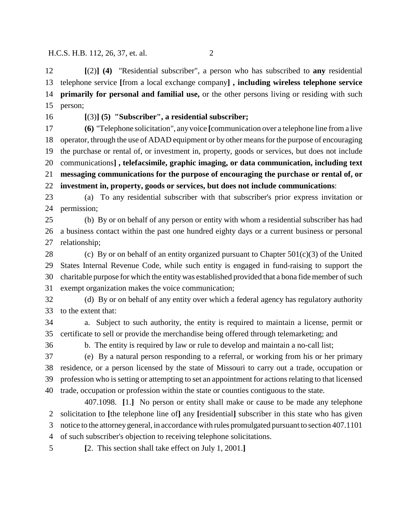**[**(2)**] (4)** "Residential subscriber", a person who has subscribed to **any** residential telephone service **[**from a local exchange company**] , including wireless telephone service primarily for personal and familial use,** or the other persons living or residing with such person;

#### **[**(3)**] (5) "Subscriber", a residential subscriber;**

 **(6)** "Telephone solicitation", any voice **[**communication over a telephone line from a live operator, through the use of ADAD equipment or by other means for the purpose of encouraging the purchase or rental of, or investment in, property, goods or services, but does not include communications**] , telefacsimile, graphic imaging, or data communication, including text messaging communications for the purpose of encouraging the purchase or rental of, or investment in, property, goods or services, but does not include communications**:

 (a) To any residential subscriber with that subscriber's prior express invitation or permission;

 (b) By or on behalf of any person or entity with whom a residential subscriber has had a business contact within the past one hundred eighty days or a current business or personal relationship;

28 (c) By or on behalf of an entity organized pursuant to Chapter  $501(c)(3)$  of the United States Internal Revenue Code, while such entity is engaged in fund-raising to support the charitable purpose for which the entity was established provided that a bona fide member of such exempt organization makes the voice communication;

 (d) By or on behalf of any entity over which a federal agency has regulatory authority to the extent that:

 a. Subject to such authority, the entity is required to maintain a license, permit or certificate to sell or provide the merchandise being offered through telemarketing; and

b. The entity is required by law or rule to develop and maintain a no-call list;

 (e) By a natural person responding to a referral, or working from his or her primary residence, or a person licensed by the state of Missouri to carry out a trade, occupation or profession who is setting or attempting to set an appointment for actions relating to that licensed trade, occupation or profession within the state or counties contiguous to the state.

407.1098. **[**1.**]** No person or entity shall make or cause to be made any telephone solicitation to **[**the telephone line of**]** any **[**residential**]** subscriber in this state who has given notice to the attorney general, in accordance with rules promulgated pursuant to section 407.1101 of such subscriber's objection to receiving telephone solicitations.

**[**2. This section shall take effect on July 1, 2001.**]**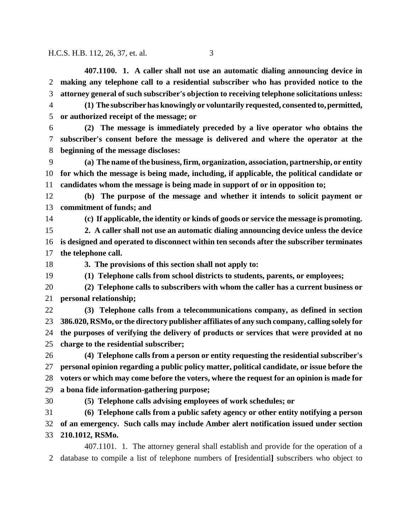**407.1100. 1. A caller shall not use an automatic dialing announcing device in making any telephone call to a residential subscriber who has provided notice to the attorney general of such subscriber's objection to receiving telephone solicitations unless: (1) The subscriber has knowingly or voluntarily requested, consented to, permitted, or authorized receipt of the message; or (2) The message is immediately preceded by a live operator who obtains the subscriber's consent before the message is delivered and where the operator at the beginning of the message discloses: (a) The name of the business, firm, organization, association, partnership, or entity for which the message is being made, including, if applicable, the political candidate or candidates whom the message is being made in support of or in opposition to; (b) The purpose of the message and whether it intends to solicit payment or commitment of funds; and (c) If applicable, the identity or kinds of goods or service the message is promoting. 2. A caller shall not use an automatic dialing announcing device unless the device is designed and operated to disconnect within ten seconds after the subscriber terminates the telephone call. 3. The provisions of this section shall not apply to: (1) Telephone calls from school districts to students, parents, or employees; (2) Telephone calls to subscribers with whom the caller has a current business or personal relationship; (3) Telephone calls from a telecommunications company, as defined in section 386.020, RSMo, or the directory publisher affiliates of any such company, calling solely for the purposes of verifying the delivery of products or services that were provided at no charge to the residential subscriber; (4) Telephone calls from a person or entity requesting the residential subscriber's personal opinion regarding a public policy matter, political candidate, or issue before the voters or which may come before the voters, where the request for an opinion is made for a bona fide information-gathering purpose; (5) Telephone calls advising employees of work schedules; or (6) Telephone calls from a public safety agency or other entity notifying a person of an emergency. Such calls may include Amber alert notification issued under section 210.1012, RSMo.** 407.1101. 1. The attorney general shall establish and provide for the operation of a database to compile a list of telephone numbers of **[**residential**]** subscribers who object to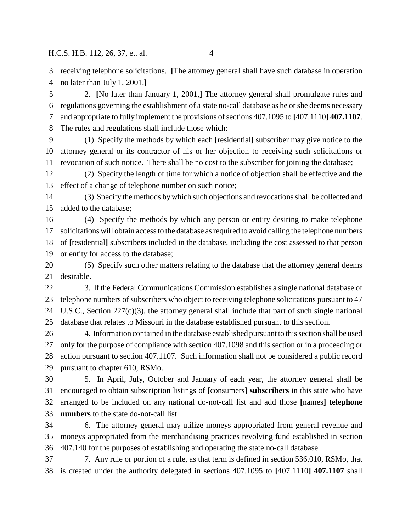receiving telephone solicitations. **[**The attorney general shall have such database in operation

no later than July 1, 2001.**]**

 2. **[**No later than January 1, 2001,**]** The attorney general shall promulgate rules and regulations governing the establishment of a state no-call database as he or she deems necessary and appropriate to fully implement the provisions of sections 407.1095 to **[**407.1110**] 407.1107**. The rules and regulations shall include those which:

 (1) Specify the methods by which each **[**residential**]** subscriber may give notice to the attorney general or its contractor of his or her objection to receiving such solicitations or revocation of such notice. There shall be no cost to the subscriber for joining the database;

 (2) Specify the length of time for which a notice of objection shall be effective and the effect of a change of telephone number on such notice;

 (3) Specify the methods by which such objections and revocations shall be collected and added to the database;

 (4) Specify the methods by which any person or entity desiring to make telephone solicitations will obtain access to the database as required to avoid calling the telephone numbers of **[**residential**]** subscribers included in the database, including the cost assessed to that person or entity for access to the database;

 (5) Specify such other matters relating to the database that the attorney general deems desirable.

 3. If the Federal Communications Commission establishes a single national database of telephone numbers of subscribers who object to receiving telephone solicitations pursuant to 47 U.S.C., Section 227(c)(3), the attorney general shall include that part of such single national database that relates to Missouri in the database established pursuant to this section.

 4. Information contained in the database established pursuant to this section shall be used only for the purpose of compliance with section 407.1098 and this section or in a proceeding or action pursuant to section 407.1107. Such information shall not be considered a public record pursuant to chapter 610, RSMo.

 5. In April, July, October and January of each year, the attorney general shall be encouraged to obtain subscription listings of **[**consumers**] subscribers** in this state who have arranged to be included on any national do-not-call list and add those **[**names**] telephone numbers** to the state do-not-call list.

 6. The attorney general may utilize moneys appropriated from general revenue and moneys appropriated from the merchandising practices revolving fund established in section 407.140 for the purposes of establishing and operating the state no-call database.

 7. Any rule or portion of a rule, as that term is defined in section 536.010, RSMo, that is created under the authority delegated in sections 407.1095 to **[**407.1110**] 407.1107** shall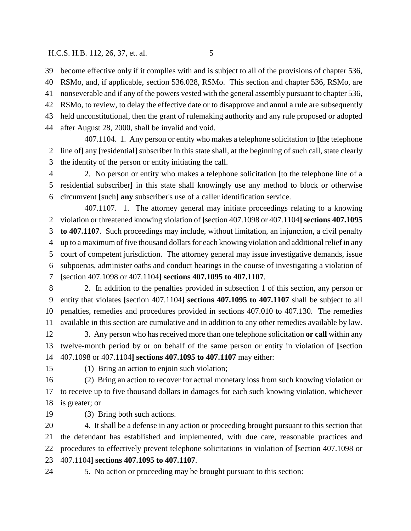become effective only if it complies with and is subject to all of the provisions of chapter 536,

 RSMo, and, if applicable, section 536.028, RSMo. This section and chapter 536, RSMo, are nonseverable and if any of the powers vested with the general assembly pursuant to chapter 536,

 RSMo, to review, to delay the effective date or to disapprove and annul a rule are subsequently held unconstitutional, then the grant of rulemaking authority and any rule proposed or adopted

after August 28, 2000, shall be invalid and void.

407.1104. 1. Any person or entity who makes a telephone solicitation to **[**the telephone line of**]** any **[**residential**]** subscriber in this state shall, at the beginning of such call, state clearly the identity of the person or entity initiating the call.

 2. No person or entity who makes a telephone solicitation **[**to the telephone line of a residential subscriber**]** in this state shall knowingly use any method to block or otherwise circumvent **[**such**] any** subscriber's use of a caller identification service.

407.1107. 1. The attorney general may initiate proceedings relating to a knowing violation or threatened knowing violation of **[**section 407.1098 or 407.1104**] sections 407.1095 to 407.1107**. Such proceedings may include, without limitation, an injunction, a civil penalty up to a maximum of five thousand dollars for each knowing violation and additional relief in any court of competent jurisdiction. The attorney general may issue investigative demands, issue subpoenas, administer oaths and conduct hearings in the course of investigating a violation of **[**section 407.1098 or 407.1104**] sections 407.1095 to 407.1107**.

 2. In addition to the penalties provided in subsection 1 of this section, any person or entity that violates **[**section 407.1104**] sections 407.1095 to 407.1107** shall be subject to all penalties, remedies and procedures provided in sections 407.010 to 407.130. The remedies available in this section are cumulative and in addition to any other remedies available by law.

 3. Any person who has received more than one telephone solicitation **or call** within any twelve-month period by or on behalf of the same person or entity in violation of **[**section 407.1098 or 407.1104**] sections 407.1095 to 407.1107** may either:

(1) Bring an action to enjoin such violation;

 (2) Bring an action to recover for actual monetary loss from such knowing violation or to receive up to five thousand dollars in damages for each such knowing violation, whichever is greater; or

(3) Bring both such actions.

 4. It shall be a defense in any action or proceeding brought pursuant to this section that the defendant has established and implemented, with due care, reasonable practices and procedures to effectively prevent telephone solicitations in violation of **[**section 407.1098 or 407.1104**] sections 407.1095 to 407.1107**.

5. No action or proceeding may be brought pursuant to this section: